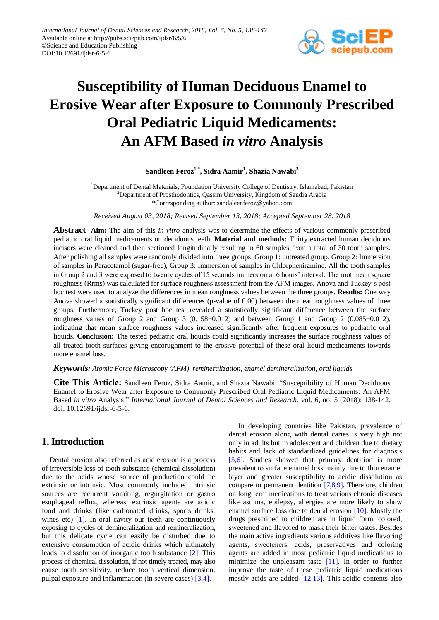

# **Susceptibility of Human Deciduous Enamel to Erosive Wear after Exposure to Commonly Prescribed Oral Pediatric Liquid Medicaments: An AFM Based** *in vitro* **Analysis**

### **Sandleen Feroz1,\* , Sidra Aamir<sup>1</sup> , Shazia Nawabi<sup>2</sup>**

<sup>1</sup>Department of Dental Materials, Foundation University College of Dentistry, Islamabad, Pakistan <sup>2</sup>Department of Prosthodontics, Qassim University, Kingdom of Saudia Arabia \*Corresponding author: sandaleenferoz@yahoo.com

*Received August 03, 2018; Revised September 13, 2018; Accepted September 28, 2018*

**Abstract Aim:** The aim of this *in vitro* analysis was to determine the effects of various commonly prescribed pediatric oral liquid medicaments on deciduous teeth. **Material and methods:** Thirty extracted human deciduous incisors were cleaned and then sectioned longitudinally resulting in 60 samples from a total of 30 tooth samples. After polishing all samples were randomly divided into three groups. Group 1: untreated group, Group 2: Immersion of samples in Paracetamol (sugar-free), Group 3: Immersion of samples in Chlorpheniramine. All the tooth samples in Group 2 and 3 were exposed to twenty cycles of 15 seconds immersion at 6 hours' interval. The root mean square roughness (Rrms) was calculated for surface roughness assessment from the AFM images. Anova and Tuckey's post hoc test were used to analyze the differences in mean roughness values between the three groups. **Results:** One way Anova showed a statistically significant differences (p-value of 0.00) between the mean roughness values of three groups. Furthermore, Tuckey post hoc test revealed a statistically significant difference between the surface roughness values of Group 2 and Group 3 (0.158±0.012) and between Group 1 and Group 2 (0.085±0.012), indicating that mean surface roughness values increased significantly after frequent exposures to pediatric oral liquids. **Conclusion:** The tested pediatric oral liquids could significantly increases the surface roughness values of all treated tooth surfaces giving encorughment to the erosive potential of these oral liquid medicaments towards more enamel loss.

#### *Keywords: Atomic Force Microscopy (AFM), remineralization, enamel demineralization, oral liquids*

**Cite This Article:** Sandleen Feroz, Sidra Aamir, and Shazia Nawabi, "Susceptibility of Human Deciduous Enamel to Erosive Wear after Exposure to Commonly Prescribed Oral Pediatric Liquid Medicaments: An AFM Based *in vitro* Analysis." *International Journal of Dental Sciences and Research*, vol. 6, no. 5 (2018): 138-142. doi: 10.12691/ijdsr-6-5-6.

## **1. Introduction**

Dental erosion also referred as acid erosion is a process of irreversible loss of tooth substance (chemical dissolution) due to the acids whose source of production could be extrinsic or intrinsic. Most commonly included intrinsic sources are recurrent vomiting, regurgitation or gastro esophageal reflux, whereas, extrinsic agents are acidic food and drinks (like carbonated drinks, sports drinks, wines etc) [\[1\].](#page-4-0) In oral cavity our teeth are continuously exposing to cycles of demineralization and remineralization, but this delicate cycle can easily be disturbed due to extensive consumption of acidic drinks which ultimately leads to dissolution of inorganic tooth substance [\[2\].](#page-4-1) This process of chemical dissolution, if not timely treated, may also cause tooth sensitivity, reduce tooth vertical dimension, pulpal exposure and inflammation (in severe cases) [\[3,4\].](#page-4-2)

In developing countries like Pakistan, prevalence of dental erosion along with dental caries is very high not only in adults but in adolescent and children due to dietary habits and lack of standardized guidelines for diagnosis [\[5,6\].](#page-4-3) Studies showed that primary dentition is more prevalent to surface enamel loss mainly due to thin enamel layer and greater susceptibility to acidic dissolution as compare to permanent dentition [\[7,8,9\].](#page-4-4) Therefore, children on long term medications to treat various chronic diseases like asthma, epilepsy, allergies are more likely to show enamel surface loss due to dental erosion [\[10\].](#page-4-5) Mostly the drugs prescribed to children are in liquid form, colored, sweetened and flavored to mask their bitter tastes. Besides the main active ingredients various additives like flavoring agents, sweeteners, acids, preservatives and coloring agents are added in most pediatric liquid medications to minimize the unpleasant taste [\[11\].](#page-4-6) In order to further improve the taste of these pediatric liquid medications mostly acids are added [\[12,13\].](#page-4-7) This acidic contents also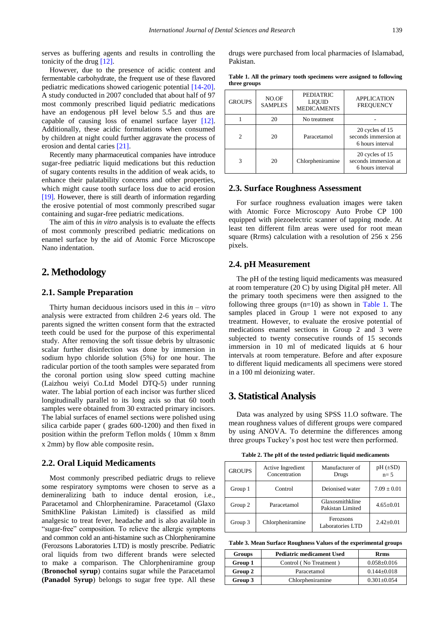serves as buffering agents and results in controlling the tonicity of the drug [\[12\].](#page-4-7)

However, due to the presence of acidic content and fermentable carbohydrate, the frequent use of these flavored pediatric medications showed cariogenic potential [\[14-20\].](#page-4-8) A study conducted in 2007 concluded that about half of 97 most commonly prescribed liquid pediatric medications have an endogenous pH level below 5.5 and thus are capable of causing loss of enamel surface layer [\[12\].](#page-4-7) Additionally, these acidic formulations when consumed by children at night could further aggravate the process of erosion and dental caries [\[21\].](#page-4-9)

Recently many pharmaceutical companies have introduce sugar-free pediatric liquid medications but this reduction of sugary contents results in the addition of weak acids, to enhance their palatability concerns and other properties, which might cause tooth surface loss due to acid erosion [\[19\].](#page-4-10) However, there is still dearth of information regarding the erosive potential of most commonly prescribed sugar containing and sugar-free pediatric medications.

The aim of this *in vitro* analysis is to evaluate the effects of most commonly prescribed pediatric medications on enamel surface by the aid of Atomic Force Microscope Nano indentation.

## **2. Methodology**

#### **2.1. Sample Preparation**

Thirty human deciduous incisors used in this *in – vitro* analysis were extracted from children 2-6 years old. The parents signed the written consent form that the extracted teeth could be used for the purpose of this experimental study. After removing the soft tissue debris by ultrasonic scalar further disinfection was done by immersion in sodium hypo chloride solution (5%) for one hour. The radicular portion of the tooth samples were separated from the coronal portion using slow speed cutting machine (Laizhou weiyi Co.Ltd Model DTQ-5) under running water. The labial portion of each incisor was further sliced longitudinally parallel to its long axis so that 60 tooth samples were obtained from 30 extracted primary incisors. The labial surfaces of enamel sections were polished using silica carbide paper ( grades 600-1200) and then fixed in position within the preform Teflon molds ( 10mm x 8mm x 2mm) by flow able composite resin.

#### **2.2. Oral Liquid Medicaments**

Most commonly prescribed pediatric drugs to relieve some respiratory symptoms were chosen to serve as a demineralizing bath to induce dental erosion, i.e., Paracetamol and Chlorpheniramine. Paracetamol (Glaxo SmithKline Pakistan Limited) is classified as mild analgesic to treat fever, headache and is also available in "sugar-free" composition. To relieve the allergic symptoms and common cold an anti-histamine such as Chlorpheniramine (Ferozsons Laboratories LTD) is mostly prescribe. Pediatric oral liquids from two different brands were selected to make a comparison. The Chlorpheniramine group (**Bronochol syrup**) contains sugar while the Paracetamol **(Panadol Syrup**) belongs to sugar free type. All these drugs were purchased from local pharmacies of Islamabad, Pakistan.

<span id="page-1-0"></span>

| <b>GROUPS</b>               | NO.OF<br><b>SAMPLES</b> | <b>PEDIATRIC</b><br><b>LIQUID</b><br><b>MEDICAMENTS</b> | <b>APPLICATION</b><br><b>FREQUENCY</b>                      |  |  |
|-----------------------------|-------------------------|---------------------------------------------------------|-------------------------------------------------------------|--|--|
|                             | 20                      | No treatment                                            |                                                             |  |  |
| $\mathcal{D}_{\mathcal{A}}$ | 20                      | Paracetamol                                             | 20 cycles of 15<br>seconds immersion at<br>6 hours interval |  |  |
| 3                           | 20                      | Chlorpheniramine                                        | 20 cycles of 15<br>seconds immersion at<br>6 hours interval |  |  |

#### **Table 1. All the primary tooth specimens were assigned to following three groups**

#### **2.3. Surface Roughness Assessment**

For surface roughness evaluation images were taken with Atomic Force Microscopy Auto Probe CP 100 equipped with piezoelectric scanner of tapping mode. At least ten different film areas were used for root mean square (Rrms) calculation with a resolution of 256 x 256 pixels.

#### **2.4. pH Measurement**

The pH of the testing liquid medicaments was measured at room temperature (20 C) by using Digital pH meter. All the primary tooth specimens were then assigned to the following three groups  $(n=10)$  as shown in [Table 1.](#page-1-0) The samples placed in Group 1 were not exposed to any treatment. However, to evaluate the erosive potential of medications enamel sections in Group 2 and 3 were subjected to twenty consecutive rounds of 15 seconds immersion in 10 ml of medicated liquids at 6 hour intervals at room temperature. Before and after exposure to different liquid medicaments all specimens were stored in a 100 ml deionizing water.

## **3. Statistical Analysis**

Data was analyzed by using SPSS 11.O software. The mean roughness values of different groups were compared by using ANOVA. To determine the differences among three groups Tuckey's post hoc test were then performed.

**Table 2. The pH of the tested pediatric liquid medicaments**

<span id="page-1-1"></span>

| <b>GROUPS</b> | Active Ingredient<br>Concentration | Manufacturer of<br>Drugs            | $pH (\pm SD)$<br>$n=5$ |
|---------------|------------------------------------|-------------------------------------|------------------------|
| Group 1       | Control                            | Deionised water                     | $7.09 \pm 0.01$        |
| Group 2       | Paracetamol                        | Glaxosmithkline<br>Pakistan Limited | $4.65 \pm 0.01$        |
| Group 3       | Chlorpheniramine                   | Ferozsons<br>Laboratories LTD       | $2.42+0.01$            |

**Table 3. Mean Surface Roughness Values of the experimental groups**

<span id="page-1-2"></span>

| Groups  | <b>Pediatric medicament Used</b> | <b>Rrms</b>       |
|---------|----------------------------------|-------------------|
| Group 1 | Control (No Treatment)           | $0.058 \pm 0.016$ |
| Group 2 | Paracetamol                      | $0.144 \pm 0.018$ |
| Group 3 | Chlorpheniramine                 | $0.301 \pm 0.054$ |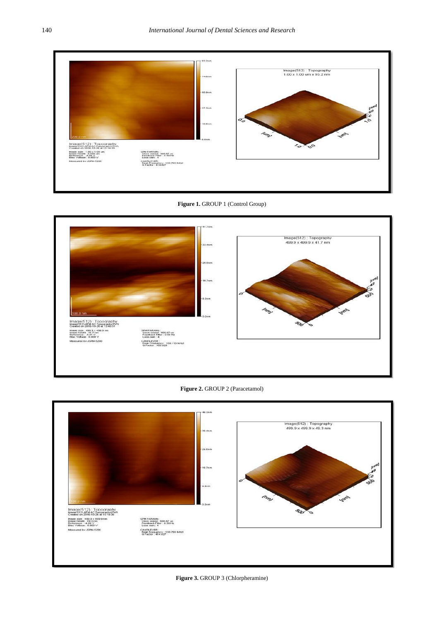<span id="page-2-0"></span>



<span id="page-2-1"></span>



<span id="page-2-2"></span>

Figure 3. GROUP 3 (Chlorpheramine)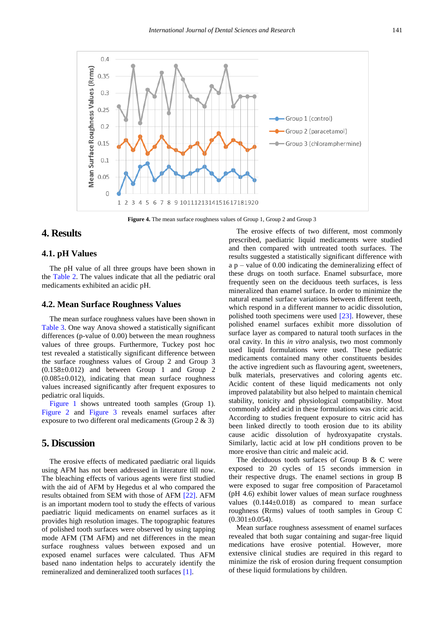

**Figure 4.** The mean surface roughness values of Group 1, Group 2 and Group 3

## **4. Results**

#### **4.1. pH Values**

The pH value of all three groups have been shown in the [Table 2.](#page-1-1) The values indicate that all the pediatric oral medicaments exhibited an acidic pH.

#### **4.2. Mean Surface Roughness Values**

The mean surface roughness values have been shown in [Table 3.](#page-1-2) One way Anova showed a statistically significant differences (p-value of 0.00) between the mean roughness values of three groups. Furthermore, Tuckey post hoc test revealed a statistically significant difference between the surface roughness values of Group 2 and Group 3  $(0.158\pm0.012)$  and between Group 1 and Group 2  $(0.085 \pm 0.012)$ , indicating that mean surface roughness values increased significantly after frequent exposures to pediatric oral liquids.

[Figure 1](#page-2-0) shows untreated tooth samples (Group 1). [Figure 2](#page-2-1) and [Figure 3](#page-2-2) reveals enamel surfaces after exposure to two different oral medicaments (Group 2 & 3)

## **5. Discussion**

The erosive effects of medicated paediatric oral liquids using AFM has not been addressed in literature till now. The bleaching effects of various agents were first studied with the aid of AFM by Hegedus et al who compared the results obtained from SEM with those of AFM [\[22\].](#page-4-11) AFM is an important modern tool to study the effects of various paediatric liquid medicaments on enamel surfaces as it provides high resolution images. The topographic features of polished tooth surfaces were observed by using tapping mode AFM (TM AFM) and net differences in the mean surface roughness values between exposed and un exposed enamel surfaces were calculated. Thus AFM based nano indentation helps to accurately identify the remineralized and demineralized tooth surfaces [\[1\].](#page-4-0)

The erosive effects of two different, most commonly prescribed, paediatric liquid medicaments were studied and then compared with untreated tooth surfaces. The results suggested a statistically significant difference with  $a$  p – value of 0.00 indicating the demineralizing effect of these drugs on tooth surface. Enamel subsurface, more frequently seen on the deciduous teeth surfaces, is less mineralized than enamel surface. In order to minimize the natural enamel surface variations between different teeth, which respond in a different manner to acidic dissolution. polished tooth specimens were used [\[23\].](#page-4-12) However, these polished enamel surfaces exhibit more dissolution of surface layer as compared to natural tooth surfaces in the oral cavity. In this *in vitro* analysis, two most commonly used liquid formulations were used. These pediatric medicaments contained many other constituents besides the active ingredient such as flavouring agent, sweeteners, bulk materials, preservatives and coloring agents etc. Acidic content of these liquid medicaments not only improved palatability but also helped to maintain chemical stability, tonicity and physiological compatibility. Most commonly added acid in these formulations was citric acid. According to studies frequent exposure to citric acid has been linked directly to tooth erosion due to its ability cause acidic dissolution of hydroxyapatite crystals. Similarly, lactic acid at low pH conditions proven to be more erosive than citric and maleic acid.

The deciduous tooth surfaces of Group B & C were exposed to 20 cycles of 15 seconds immersion in their respective drugs. The enamel sections in group B were exposed to sugar free composition of Paracetamol (pH 4.6) exhibit lower values of mean surface roughness values  $(0.144 \pm 0.018)$  as compared to mean surface roughness (Rrms) values of tooth samples in Group C  $(0.301 \pm 0.054)$ .

Mean surface roughness assessment of enamel surfaces revealed that both sugar containing and sugar-free liquid medications have erosive potential. However, more extensive clinical studies are required in this regard to minimize the risk of erosion during frequent consumption of these liquid formulations by children.